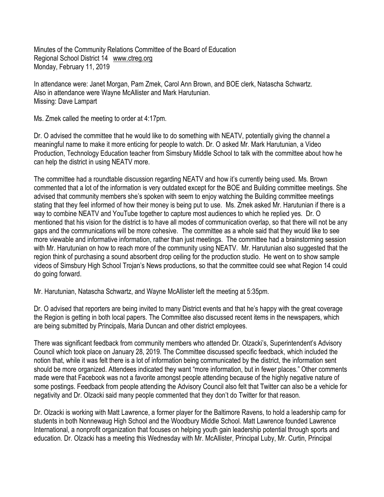Minutes of the Community Relations Committee of the Board of Education Regional School District 14 www.ctreg.org Monday, February 11, 2019

In attendance were: Janet Morgan, Pam Zmek, Carol Ann Brown, and BOE clerk, Natascha Schwartz. Also in attendance were Wayne McAllister and Mark Harutunian. Missing: Dave Lampart

Ms. Zmek called the meeting to order at 4:17pm.

Dr. O advised the committee that he would like to do something with NEATV, potentially giving the channel a meaningful name to make it more enticing for people to watch. Dr. O asked Mr. Mark Harutunian, a Video Production, Technology Education teacher from Simsbury Middle School to talk with the committee about how he can help the district in using NEATV more.

The committee had a roundtable discussion regarding NEATV and how it's currently being used. Ms. Brown commented that a lot of the information is very outdated except for the BOE and Building committee meetings. She advised that community members she's spoken with seem to enjoy watching the Building committee meetings stating that they feel informed of how their money is being put to use. Ms. Zmek asked Mr. Harutunian if there is a way to combine NEATV and YouTube together to capture most audiences to which he replied yes. Dr. O mentioned that his vision for the district is to have all modes of communication overlap, so that there will not be any gaps and the communications will be more cohesive. The committee as a whole said that they would like to see more viewable and informative information, rather than just meetings. The committee had a brainstorming session with Mr. Harutunian on how to reach more of the community using NEATV. Mr. Harutunian also suggested that the region think of purchasing a sound absorbent drop ceiling for the production studio. He went on to show sample videos of Simsbury High School Trojan's News productions, so that the committee could see what Region 14 could do going forward.

Mr. Harutunian, Natascha Schwartz, and Wayne McAllister left the meeting at 5:35pm.

Dr. O advised that reporters are being invited to many District events and that he's happy with the great coverage the Region is getting in both local papers. The Committee also discussed recent items in the newspapers, which are being submitted by Principals, Maria Duncan and other district employees.

There was significant feedback from community members who attended Dr. Olzacki's, Superintendent's Advisory Council which took place on January 28, 2019. The Committee discussed specific feedback, which included the notion that, while it was felt there is a lot of information being communicated by the district, the information sent should be more organized. Attendees indicated they want "more information, but in fewer places." Other comments made were that Facebook was not a favorite amongst people attending because of the highly negative nature of some postings. Feedback from people attending the Advisory Council also felt that Twitter can also be a vehicle for negativity and Dr. Olzacki said many people commented that they don't do Twitter for that reason.

Dr. Olzacki is working with Matt Lawrence, a former player for the Baltimore Ravens, to hold a leadership camp for students in both Nonnewaug High School and the Woodbury Middle School. Matt Lawrence founded Lawrence International, a nonprofit organization that focuses on helping youth gain leadership potential through sports and education. Dr. Olzacki has a meeting this Wednesday with Mr. McAllister, Principal Luby, Mr. Curtin, Principal